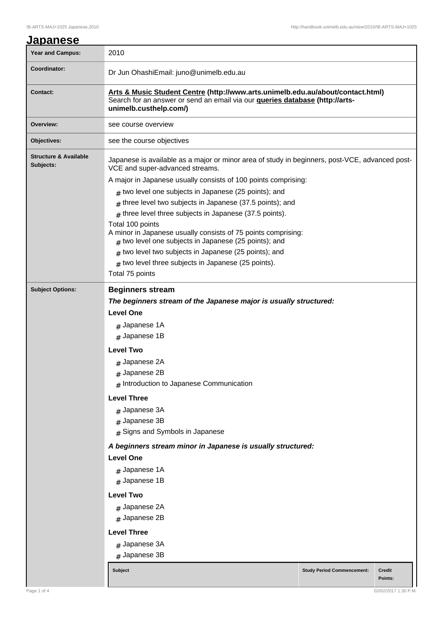|--|

| Year and Campus:                              | 2010                                                                                                                                                                                             |  |  |  |  |  |
|-----------------------------------------------|--------------------------------------------------------------------------------------------------------------------------------------------------------------------------------------------------|--|--|--|--|--|
| Coordinator:                                  | Dr Jun OhashiEmail: juno@unimelb.edu.au                                                                                                                                                          |  |  |  |  |  |
| <b>Contact:</b>                               | Arts & Music Student Centre (http://www.arts.unimelb.edu.au/about/contact.html)<br>Search for an answer or send an email via our <b>queries database (http://arts-</b><br>unimelb.custhelp.com/) |  |  |  |  |  |
| Overview:                                     | see course overview                                                                                                                                                                              |  |  |  |  |  |
| Objectives:                                   | see the course objectives                                                                                                                                                                        |  |  |  |  |  |
| <b>Structure &amp; Available</b><br>Subjects: | Japanese is available as a major or minor area of study in beginners, post-VCE, advanced post-<br>VCE and super-advanced streams.                                                                |  |  |  |  |  |
|                                               | A major in Japanese usually consists of 100 points comprising:                                                                                                                                   |  |  |  |  |  |
|                                               | $#$ two level one subjects in Japanese (25 points); and                                                                                                                                          |  |  |  |  |  |
|                                               | $#$ three level two subjects in Japanese (37.5 points); and                                                                                                                                      |  |  |  |  |  |
|                                               | $#$ three level three subjects in Japanese (37.5 points).                                                                                                                                        |  |  |  |  |  |
|                                               | Total 100 points<br>A minor in Japanese usually consists of 75 points comprising:                                                                                                                |  |  |  |  |  |
|                                               | $#$ two level one subjects in Japanese (25 points); and                                                                                                                                          |  |  |  |  |  |
|                                               | $#$ two level two subjects in Japanese (25 points); and                                                                                                                                          |  |  |  |  |  |
|                                               | $#$ two level three subjects in Japanese (25 points).                                                                                                                                            |  |  |  |  |  |
|                                               | Total 75 points                                                                                                                                                                                  |  |  |  |  |  |
| <b>Subject Options:</b>                       | <b>Beginners stream</b>                                                                                                                                                                          |  |  |  |  |  |
|                                               | The beginners stream of the Japanese major is usually structured:                                                                                                                                |  |  |  |  |  |
|                                               | <b>Level One</b>                                                                                                                                                                                 |  |  |  |  |  |
|                                               | $#$ Japanese 1A                                                                                                                                                                                  |  |  |  |  |  |
|                                               | $#$ Japanese 1B                                                                                                                                                                                  |  |  |  |  |  |
|                                               | <b>Level Two</b>                                                                                                                                                                                 |  |  |  |  |  |
|                                               | $#$ Japanese 2A                                                                                                                                                                                  |  |  |  |  |  |
|                                               | # Japanese 2B                                                                                                                                                                                    |  |  |  |  |  |
|                                               | # Introduction to Japanese Communication                                                                                                                                                         |  |  |  |  |  |
|                                               | <b>Level Three</b>                                                                                                                                                                               |  |  |  |  |  |
|                                               | $#$ Japanese 3A                                                                                                                                                                                  |  |  |  |  |  |
|                                               | # Japanese 3B                                                                                                                                                                                    |  |  |  |  |  |
|                                               | # Signs and Symbols in Japanese                                                                                                                                                                  |  |  |  |  |  |
|                                               | A beginners stream minor in Japanese is usually structured:                                                                                                                                      |  |  |  |  |  |
|                                               | <b>Level One</b>                                                                                                                                                                                 |  |  |  |  |  |
|                                               | $#$ Japanese 1A                                                                                                                                                                                  |  |  |  |  |  |
|                                               | $#$ Japanese 1B                                                                                                                                                                                  |  |  |  |  |  |
|                                               | <b>Level Two</b>                                                                                                                                                                                 |  |  |  |  |  |
|                                               | # Japanese 2A                                                                                                                                                                                    |  |  |  |  |  |
|                                               | # Japanese 2B                                                                                                                                                                                    |  |  |  |  |  |
|                                               | <b>Level Three</b>                                                                                                                                                                               |  |  |  |  |  |
|                                               | $#$ Japanese 3A                                                                                                                                                                                  |  |  |  |  |  |
|                                               | # Japanese 3B                                                                                                                                                                                    |  |  |  |  |  |
|                                               | <b>Subject</b><br><b>Study Period Commencement:</b><br><b>Credit</b>                                                                                                                             |  |  |  |  |  |
|                                               | Points:                                                                                                                                                                                          |  |  |  |  |  |
| Page 1 of 4                                   | 02/02/2017 1:30 P.M                                                                                                                                                                              |  |  |  |  |  |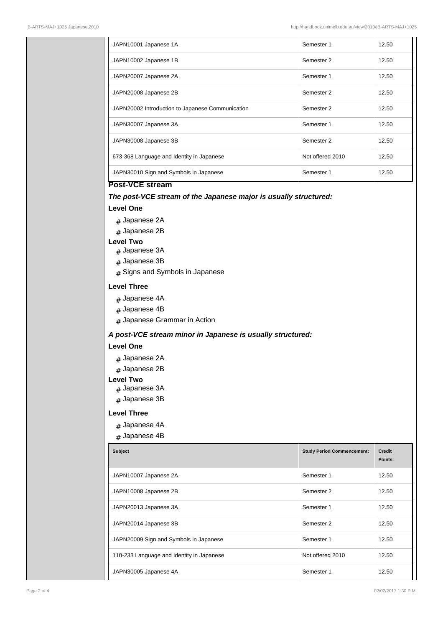| JAPN10001 Japanese 1A                            | Semester 1       | 12.50 |
|--------------------------------------------------|------------------|-------|
| JAPN10002 Japanese 1B                            | Semester 2       | 12.50 |
| JAPN20007 Japanese 2A                            | Semester 1       | 12.50 |
| JAPN20008 Japanese 2B                            | Semester 2       | 12.50 |
| JAPN20002 Introduction to Japanese Communication | Semester 2       | 12.50 |
| JAPN30007 Japanese 3A                            | Semester 1       | 12.50 |
| JAPN30008 Japanese 3B                            | Semester 2       | 12.50 |
| 673-368 Language and Identity in Japanese        | Not offered 2010 | 12.50 |
| JAPN30010 Sign and Symbols in Japanese           | Semester 1       | 12.50 |

# **Post-VCE stream**

### **The post-VCE stream of the Japanese major is usually structured:**

# **Level One**

- # Japanese 2A
- # Japanese 2B

#### **Level Two**

- # Japanese 3A
- # Japanese 3B
- # Signs and Symbols in Japanese

### **Level Three**

- # Japanese 4A
- # Japanese 4B
- $_{\rm \#}$  Japanese Grammar in Action

### **A post-VCE stream minor in Japanese is usually structured:**

# **Level One**

- # Japanese 2A
- # Japanese 2B

#### **Level Two**

- # Japanese 3A
- # Japanese 3B

### **Level Three**

- # Japanese 4A
- # Japanese 4B

| <b>Subject</b>                            | <b>Study Period Commencement:</b> | <b>Credit</b><br>Points: |
|-------------------------------------------|-----------------------------------|--------------------------|
| JAPN10007 Japanese 2A                     | Semester 1                        | 12.50                    |
| JAPN10008 Japanese 2B                     | Semester 2                        | 12.50                    |
| JAPN20013 Japanese 3A                     | Semester 1                        | 12.50                    |
| JAPN20014 Japanese 3B                     | Semester 2                        | 12.50                    |
| JAPN20009 Sign and Symbols in Japanese    | Semester 1                        | 12.50                    |
| 110-233 Language and Identity in Japanese | Not offered 2010                  | 12.50                    |
| JAPN30005 Japanese 4A                     | Semester 1                        | 12.50                    |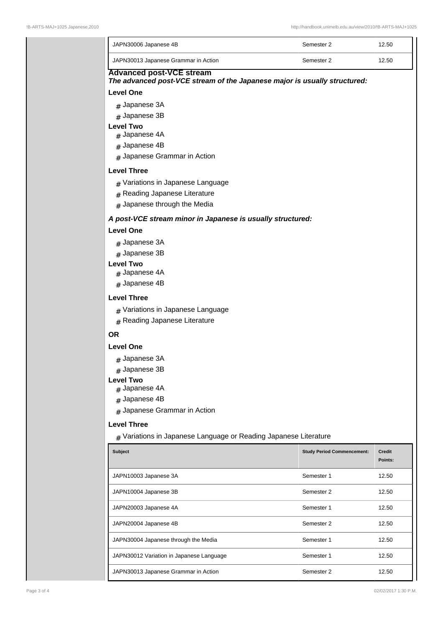| JAPN30006 Japanese 4B                                                                                        | Semester 2                        | 12.50                    |  |  |
|--------------------------------------------------------------------------------------------------------------|-----------------------------------|--------------------------|--|--|
| JAPN30013 Japanese Grammar in Action                                                                         | Semester 2                        | 12.50                    |  |  |
| <b>Advanced post-VCE stream</b><br>The advanced post-VCE stream of the Japanese major is usually structured: |                                   |                          |  |  |
| <b>Level One</b>                                                                                             |                                   |                          |  |  |
| $#$ Japanese 3A                                                                                              |                                   |                          |  |  |
| $#$ Japanese 3B<br><b>Level Two</b>                                                                          |                                   |                          |  |  |
| # Japanese 4A                                                                                                |                                   |                          |  |  |
| # Japanese 4B                                                                                                |                                   |                          |  |  |
| $#$ Japanese Grammar in Action                                                                               |                                   |                          |  |  |
| <b>Level Three</b>                                                                                           |                                   |                          |  |  |
| # Variations in Japanese Language                                                                            |                                   |                          |  |  |
| # Reading Japanese Literature                                                                                |                                   |                          |  |  |
| # Japanese through the Media                                                                                 |                                   |                          |  |  |
| A post-VCE stream minor in Japanese is usually structured:                                                   |                                   |                          |  |  |
| <b>Level One</b>                                                                                             |                                   |                          |  |  |
| # Japanese 3A                                                                                                |                                   |                          |  |  |
| # Japanese 3B                                                                                                |                                   |                          |  |  |
| <b>Level Two</b>                                                                                             |                                   |                          |  |  |
| $#$ Japanese 4A<br>$#$ Japanese 4B                                                                           |                                   |                          |  |  |
|                                                                                                              |                                   |                          |  |  |
| <b>Level Three</b>                                                                                           |                                   |                          |  |  |
| $#$ Variations in Japanese Language<br># Reading Japanese Literature                                         |                                   |                          |  |  |
|                                                                                                              |                                   |                          |  |  |
| <b>OR</b>                                                                                                    |                                   |                          |  |  |
| <b>Level One</b>                                                                                             |                                   |                          |  |  |
| # Japanese 3A                                                                                                |                                   |                          |  |  |
| $#$ Japanese 3B<br><b>Level Two</b>                                                                          |                                   |                          |  |  |
| # Japanese 4A                                                                                                |                                   |                          |  |  |
| # Japanese 4B                                                                                                |                                   |                          |  |  |
| # Japanese Grammar in Action                                                                                 |                                   |                          |  |  |
| <b>Level Three</b>                                                                                           |                                   |                          |  |  |
| # Variations in Japanese Language or Reading Japanese Literature                                             |                                   |                          |  |  |
| <b>Subject</b>                                                                                               | <b>Study Period Commencement:</b> | <b>Credit</b><br>Points: |  |  |
| JAPN10003 Japanese 3A                                                                                        | Semester 1                        | 12.50                    |  |  |
| JAPN10004 Japanese 3B                                                                                        | Semester 2                        | 12.50                    |  |  |
| JAPN20003 Japanese 4A                                                                                        | Semester 1                        | 12.50                    |  |  |
| JAPN20004 Japanese 4B                                                                                        | Semester 2                        | 12.50                    |  |  |
| JAPN30004 Japanese through the Media                                                                         | Semester 1                        | 12.50                    |  |  |
| JAPN30012 Variation in Japanese Language                                                                     | Semester 1                        | 12.50                    |  |  |
| JAPN30013 Japanese Grammar in Action                                                                         | Semester 2                        | 12.50                    |  |  |
|                                                                                                              |                                   |                          |  |  |